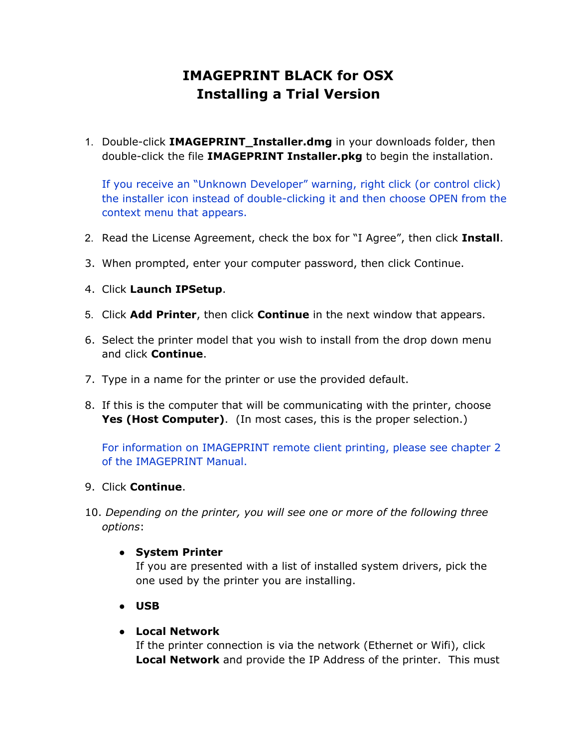# **IMAGEPRINT BLACK for OSX Installing a Trial Version**

1. Double-click **IMAGEPRINT\_Installer.dmg** in your downloads folder, then double-click the file **IMAGEPRINT Installer.pkg** to begin the installation.

If you receive an "Unknown Developer" warning, right click (or control click) the installer icon instead of double-clicking it and then choose OPEN from the context menu that appears.

- 2. Read the License Agreement, check the box for "I Agree", then click **Install**.
- 3. When prompted, enter your computer password, then click Continue.
- 4. Click **Launch IPSetup**.
- 5. Click **Add Printer**, then click **Continue** in the next window that appears.
- 6. Select the printer model that you wish to install from the drop down menu and click **Continue**.
- 7. Type in a name for the printer or use the provided default.
- 8. If this is the computer that will be communicating with the printer, choose **Yes (Host Computer)**. (In most cases, this is the proper selection.)

For information on IMAGEPRINT remote client printing, please see chapter 2 of the IMAGEPRINT Manual.

- 9. Click **Continue**.
- 10. *Depending on the printer, you will see one or more of the following three options*:

## ● **System Printer**

If you are presented with a list of installed system drivers, pick the one used by the printer you are installing.

● **USB**

#### ● **Local Network**

If the printer connection is via the network (Ethernet or Wifi), click **Local Network** and provide the IP Address of the printer. This must